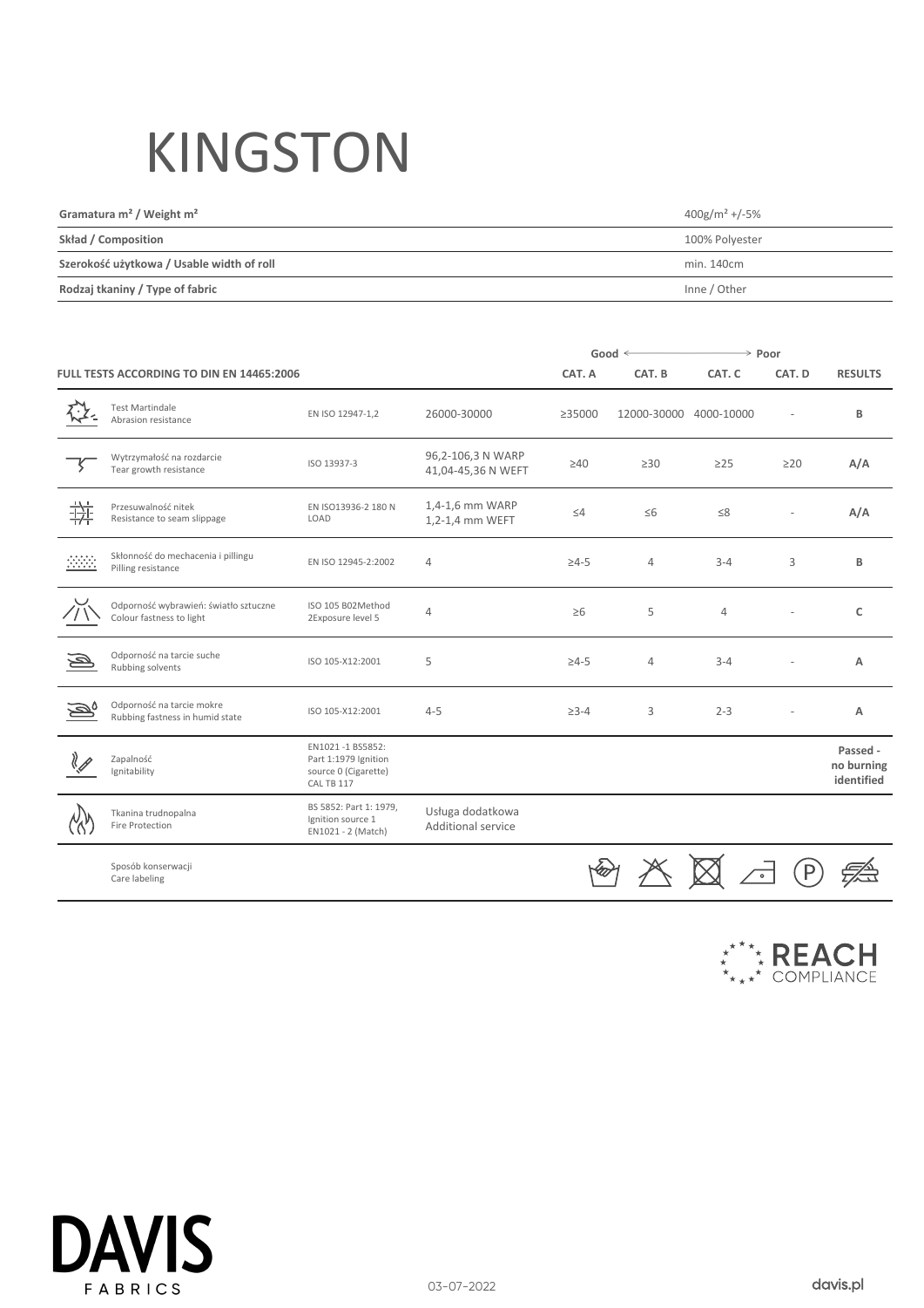## KINGSTON

| Gramatura $m^2$ / Weight $m^2$            | $400$ g/m <sup>2</sup> +/-5% |
|-------------------------------------------|------------------------------|
| Skład / Composition                       | 100% Polyester               |
| Szerokość użytkowa / Usable width of roll | min. 140cm                   |
| Rodzaj tkaniny / Type of fabric           | Inne / Other                 |

|                                                  |                                                                   |                                                                                |                                         | Good $\leq$  |                | $\rightarrow$ Poor |           |                                      |
|--------------------------------------------------|-------------------------------------------------------------------|--------------------------------------------------------------------------------|-----------------------------------------|--------------|----------------|--------------------|-----------|--------------------------------------|
| <b>FULL TESTS ACCORDING TO DIN EN 14465:2006</b> |                                                                   |                                                                                |                                         | CAT. A       | CAT. B         | CAT. C             | CAT. D    | <b>RESULTS</b>                       |
|                                                  | <b>Test Martindale</b><br>Abrasion resistance                     | EN ISO 12947-1,2                                                               | 26000-30000                             | ≥35000       | 12000-30000    | 4000-10000         |           | B                                    |
|                                                  | Wytrzymałość na rozdarcie<br>Tear growth resistance               | ISO 13937-3                                                                    | 96,2-106,3 N WARP<br>41,04-45,36 N WEFT | $\geq 40$    | $\geq 30$      | $\geq$ 25          | $\geq$ 20 | A/A                                  |
| 拼                                                | Przesuwalność nitek<br>Resistance to seam slippage                | EN ISO13936-2 180 N<br>LOAD                                                    | 1,4-1,6 mm WARP<br>1,2-1,4 mm WEFT      | $\leq 4$     | $\leq 6$       | $\leq 8$           |           | A/A                                  |
| $\frac{1}{2}$                                    | Skłonność do mechacenia i pillingu<br>Pilling resistance          | EN ISO 12945-2:2002                                                            | 4                                       | $\geq 4 - 5$ | $\overline{4}$ | $3 - 4$            | 3         | B                                    |
|                                                  | Odporność wybrawień: światło sztuczne<br>Colour fastness to light | ISO 105 B02Method<br>2Exposure level 5                                         | $\overline{4}$                          | $\geq 6$     | 5              | $\overline{4}$     |           | C                                    |
|                                                  | Odporność na tarcie suche<br>Rubbing solvents                     | ISO 105-X12:2001                                                               | 5                                       | $\geq 4 - 5$ | $\overline{4}$ | $3 - 4$            |           | Α                                    |
|                                                  | Odporność na tarcie mokre<br>Rubbing fastness in humid state      | ISO 105-X12:2001                                                               | $4 - 5$                                 | $\geq 3 - 4$ | 3              | $2 - 3$            |           | Α                                    |
|                                                  | Zapalność<br>Ignitability                                         | EN1021-1 BS5852:<br>Part 1:1979 Ignition<br>source 0 (Cigarette)<br>CAL TB 117 |                                         |              |                |                    |           | Passed -<br>no burning<br>identified |
|                                                  | Tkanina trudnopalna<br>Fire Protection                            | BS 5852: Part 1: 1979,<br>Ignition source 1<br>EN1021 - 2 (Match)              | Usługa dodatkowa<br>Additional service  |              |                |                    |           |                                      |
|                                                  | Sposób konserwacji<br>Care labeling                               |                                                                                |                                         |              |                |                    |           |                                      |